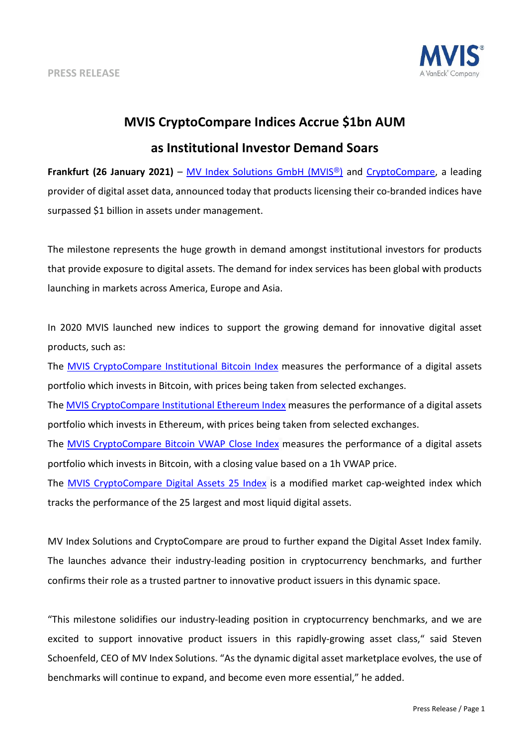

## **MVIS CryptoCompare Indices Accrue \$1bn AUM**

## **as Institutional Investor Demand Soars**

**Frankfurt (26 January 2021[\)](https://www.mvis-indices.com/)** – [MV Index Solutions GmbH \(MVIS](https://www.mvis-indices.com/)<sup>[®](https://www.mvis-indices.com/)</sup>) and [CryptoCompare,](https://www.cryptocompare.com/) a leading provider of digital asset data, announced today that products licensing their co-branded indices have surpassed \$1 billion in assets under management.

The milestone represents the huge growth in demand amongst institutional investors for products that provide exposure to digital assets. The demand for index services has been global with products launching in markets across America, Europe and Asia.

In 2020 MVIS launched new indices to support the growing demand for innovative digital asset products, such as:

The [MVIS CryptoCompare Institutional Bitcoin Index](https://www.mvis-indices.com/indices/digital-assets/mvis-cryptocompare-institutional-bitcoin) measures the performance of a digital assets portfolio which invests in Bitcoin, with prices being taken from selected exchanges.

Th[e MVIS CryptoCompare Institutional Ethereum](https://www.mvis-indices.com/indices/digital-assets/mvis-cryptocompare-institutional-ethereum) Index measures the performance of a digital assets portfolio which invests in Ethereum, with prices being taken from selected exchanges.

The [MVIS CryptoCompare Bitcoin VWAP Close Index](https://www.mvis-indices.com/indices/digital-assets/mvis-cryptocompare-bitcoin-vwap-close) measures the performance of a digital assets portfolio which invests in Bitcoin, with a closing value based on a 1h VWAP price.

The [MVIS CryptoCompare Digital Assets 25](https://www.mvis-indices.com/indices/digital-assets/mvis-cryptocompare-digital-assets-25) Index is a modified market cap-weighted index which tracks the performance of the 25 largest and most liquid digital assets.

MV Index Solutions and CryptoCompare are proud to further expand the Digital Asset Index family. The launches advance their industry-leading position in cryptocurrency benchmarks, and further confirms their role as a trusted partner to innovative product issuers in this dynamic space.

"This milestone solidifies our industry-leading position in cryptocurrency benchmarks, and we are excited to support innovative product issuers in this rapidly-growing asset class," said Steven Schoenfeld, CEO of MV Index Solutions. "As the dynamic digital asset marketplace evolves, the use of benchmarks will continue to expand, and become even more essential," he added.